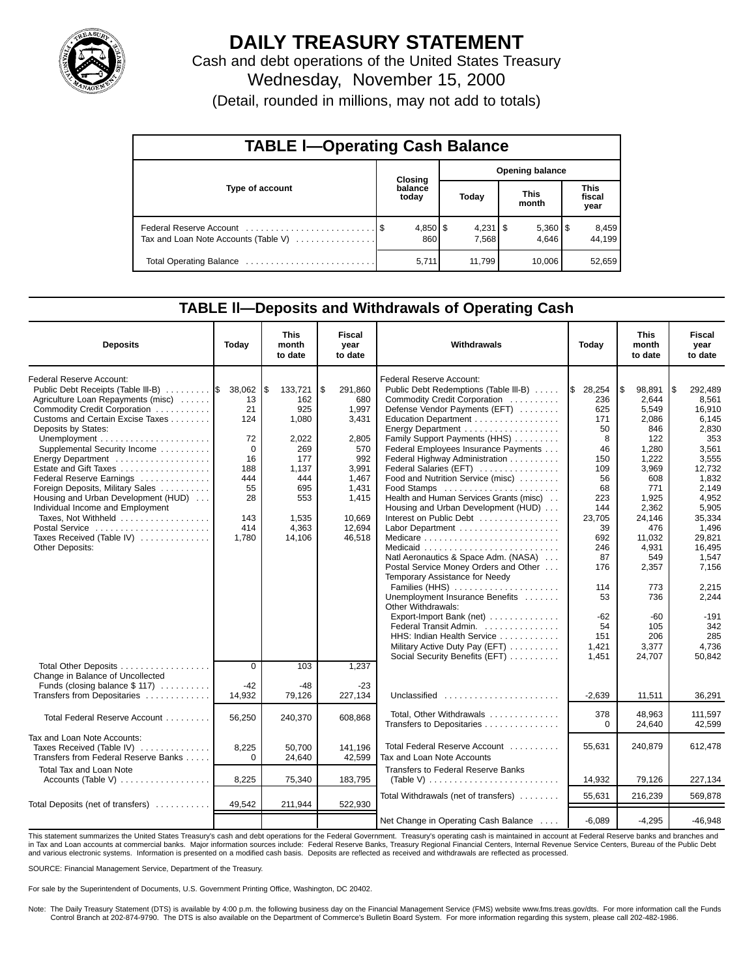

## **DAILY TREASURY STATEMENT**

Cash and debt operations of the United States Treasury Wednesday, November 15, 2000 (Detail, rounded in millions, may not add to totals)

| <b>TABLE I-Operating Cash Balance</b> |  |                  |                        |  |                       |                               |                 |  |  |  |
|---------------------------------------|--|------------------|------------------------|--|-----------------------|-------------------------------|-----------------|--|--|--|
|                                       |  | <b>Closing</b>   | <b>Opening balance</b> |  |                       |                               |                 |  |  |  |
| Type of account                       |  | balance<br>today | Today                  |  | <b>This</b><br>month  | <b>This</b><br>fiscal<br>year |                 |  |  |  |
| Tax and Loan Note Accounts (Table V)  |  | 860              | 7,568                  |  | $5,360$   \$<br>4.646 |                               | 8,459<br>44.199 |  |  |  |
|                                       |  | 5,711            | 11,799                 |  | 10.006                |                               | 52,659          |  |  |  |

## **TABLE ll—Deposits and Withdrawals of Operating Cash**

| <b>Deposits</b>                                          | Today          | <b>This</b><br>month<br>to date | <b>Fiscal</b><br>year<br>to date | Withdrawals                                                         | Today     | <b>This</b><br>month<br>to date | Fiscal<br>year<br>to date |
|----------------------------------------------------------|----------------|---------------------------------|----------------------------------|---------------------------------------------------------------------|-----------|---------------------------------|---------------------------|
| <b>Federal Reserve Account:</b>                          |                |                                 |                                  | <b>Federal Reserve Account:</b>                                     |           |                                 |                           |
| Public Debt Receipts (Table III-B)  S                    | 38,062         | l\$<br>133,721                  | \$<br>291,860                    | Public Debt Redemptions (Table III-B)                               | \$28,254  | 98,891                          | \$<br>292,489             |
| Agriculture Loan Repayments (misc)                       | 13             | 162                             | 680                              | Commodity Credit Corporation                                        | 236       | 2.644                           | 8.561                     |
| Commodity Credit Corporation                             | 21             | 925                             | 1,997                            | Defense Vendor Payments (EFT)                                       | 625       | 5.549                           | 16,910                    |
| Customs and Certain Excise Taxes                         | 124            | 1,080                           | 3,431                            | Education Department                                                | 171       | 2,086                           | 6.145                     |
| Deposits by States:                                      |                |                                 |                                  | Energy Department                                                   | 50        | 846                             | 2,830                     |
| Unemployment $\dots\dots\dots\dots\dots\dots\dots\dots$  | 72             | 2,022                           | 2.805                            | Family Support Payments (HHS)                                       | 8         | 122                             | 353                       |
| Supplemental Security Income                             | 0              | 269                             | 570                              | Federal Employees Insurance Payments                                | 46        | 1,280                           | 3,561                     |
| Energy Department                                        | 16             | 177                             | 992                              | Federal Highway Administration                                      | 150       | 1,222                           | 3,555                     |
| Estate and Gift Taxes                                    | 188            | 1.137                           | 3,991                            | Federal Salaries (EFT)                                              | 109       | 3,969                           | 12,732                    |
| Federal Reserve Earnings                                 | 444            | 444                             | 1.467                            | Food and Nutrition Service (misc)                                   | 56        | 608                             | 1,832                     |
| Foreign Deposits, Military Sales                         | 55             | 695                             | 1.431                            | $Food$ Stamps $\ldots \ldots \ldots \ldots \ldots \ldots$           | 68        | 771                             | 2.149                     |
| Housing and Urban Development (HUD)                      | 28             | 553                             | 1,415                            | Health and Human Services Grants (misc)                             | 223       | 1,925                           | 4,952                     |
| Individual Income and Employment                         |                |                                 |                                  | Housing and Urban Development (HUD)                                 | 144       | 2.362                           | 5.905                     |
| Taxes, Not Withheld                                      | 143            | 1,535                           | 10.669                           | Interest on Public Debt                                             | 23,705    | 24.146                          | 35.334                    |
| Postal Service                                           | 414            | 4,363                           | 12,694                           |                                                                     | 39        | 476                             | 1,496                     |
| Taxes Received (Table IV)                                | 1.780          | 14.106                          | 46.518                           |                                                                     | 692       | 11.032                          | 29.821                    |
| <b>Other Deposits:</b>                                   |                |                                 |                                  | Medicaid<br>Natl Aeronautics & Space Adm. (NASA)                    | 246<br>87 | 4,931                           | 16,495                    |
|                                                          |                |                                 |                                  | Postal Service Money Orders and Other                               |           | 549                             | 1,547                     |
|                                                          |                |                                 |                                  | Temporary Assistance for Needy                                      | 176       | 2,357                           | 7,156                     |
|                                                          |                |                                 |                                  | Families (HHS)                                                      | 114       | 773                             | 2,215                     |
|                                                          |                |                                 |                                  | Unemployment Insurance Benefits                                     | 53        | 736                             | 2,244                     |
|                                                          |                |                                 |                                  | Other Withdrawals:                                                  |           |                                 |                           |
|                                                          |                |                                 |                                  | Export-Import Bank (net)                                            | -62       | -60                             | $-191$                    |
|                                                          |                |                                 |                                  | Federal Transit Admin.                                              | 54        | 105                             | 342                       |
|                                                          |                |                                 |                                  | HHS: Indian Health Service                                          | 151       | 206                             | 285                       |
|                                                          |                |                                 |                                  | Military Active Duty Pay (EFT)                                      | 1,421     | 3,377                           | 4,736                     |
|                                                          |                |                                 |                                  | Social Security Benefits (EFT)                                      | 1,451     | 24,707                          | 50,842                    |
| Total Other Deposits<br>Change in Balance of Uncollected | $\overline{0}$ | 103                             | 1,237                            |                                                                     |           |                                 |                           |
| Funds (closing balance $$ 117)$                          | $-42$          | $-48$                           | $-23$                            |                                                                     |           |                                 |                           |
| Transfers from Depositaries                              | 14,932         | 79,126                          | 227,134                          | Unclassified                                                        | $-2,639$  | 11,511                          | 36,291                    |
| Total Federal Reserve Account                            | 56,250         | 240,370                         | 608,868                          | Total, Other Withdrawals                                            | 378       | 48.963                          | 111.597                   |
|                                                          |                |                                 |                                  | Transfers to Depositaries                                           | $\Omega$  | 24,640                          | 42,599                    |
| Tax and Loan Note Accounts:                              |                |                                 |                                  |                                                                     |           |                                 |                           |
| Taxes Received (Table IV)                                | 8,225          | 50,700                          | 141,196                          | Total Federal Reserve Account                                       | 55,631    | 240,879                         | 612,478                   |
| Transfers from Federal Reserve Banks                     | $\Omega$       | 24,640                          | 42,599                           | Tax and Loan Note Accounts                                          |           |                                 |                           |
| Total Tax and Loan Note                                  |                |                                 |                                  | <b>Transfers to Federal Reserve Banks</b>                           |           |                                 |                           |
| Accounts (Table V)                                       | 8,225          | 75,340                          | 183,795                          | (Table V) $\ldots \ldots \ldots \ldots \ldots \ldots \ldots \ldots$ | 14,932    | 79,126                          | 227,134                   |
|                                                          |                |                                 |                                  | Total Withdrawals (net of transfers)                                | 55,631    | 216,239                         | 569.878                   |
| Total Deposits (net of transfers)                        | 49,542         | 211,944                         | 522,930                          |                                                                     |           |                                 |                           |
|                                                          |                |                                 |                                  | Net Change in Operating Cash Balance                                | $-6,089$  | $-4.295$                        | $-46,948$                 |

This statement summarizes the United States Treasury's cash and debt operations for the Federal Government. Treasury's operating cash is maintained in account at Federal Reserve banks and branches and<br>in Tax and Loan accou and various electronic systems. Information is presented on a modified cash basis. Deposits are reflected as received and withdrawals are reflected as processed.

SOURCE: Financial Management Service, Department of the Treasury.

For sale by the Superintendent of Documents, U.S. Government Printing Office, Washington, DC 20402.

Note: The Daily Treasury Statement (DTS) is available by 4:00 p.m. the following business day on the Financial Management Service (FMS) website www.fms.treas.gov/dts. For more information call the Funds Control Branch at 202-874-9790. The DTS is also available on the Department of Commerce's Bulletin Board System. For more information regarding this system, please call 202-482-1986.